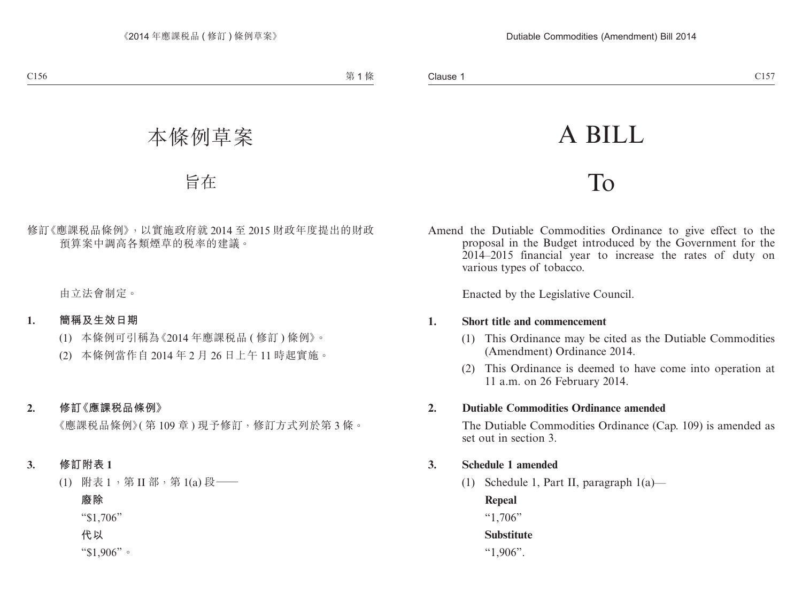# A BILL

## To

Amend the Dutiable Commodities Ordinance to give effect to the proposal in the Budget introduced by the Government for the 2014–2015 financial year to increase the rates of duty on various types of tobacco.

Enacted by the Legislative Council.

#### **1. Short title and commencement**

- (1) This Ordinance may be cited as the Dutiable Commodities (Amendment) Ordinance 2014.
- (2) This Ordinance is deemed to have come into operation at 11 a.m. on 26 February 2014.

#### **2. Dutiable Commodities Ordinance amended**

The Dutiable Commodities Ordinance (Cap. 109) is amended as set out in section 3.

## **3. Schedule 1 amended**

(1) Schedule 1, Part II, paragraph 1(a)—

#### **Repeal**

"1,706"

## **Substitute**

"1,906".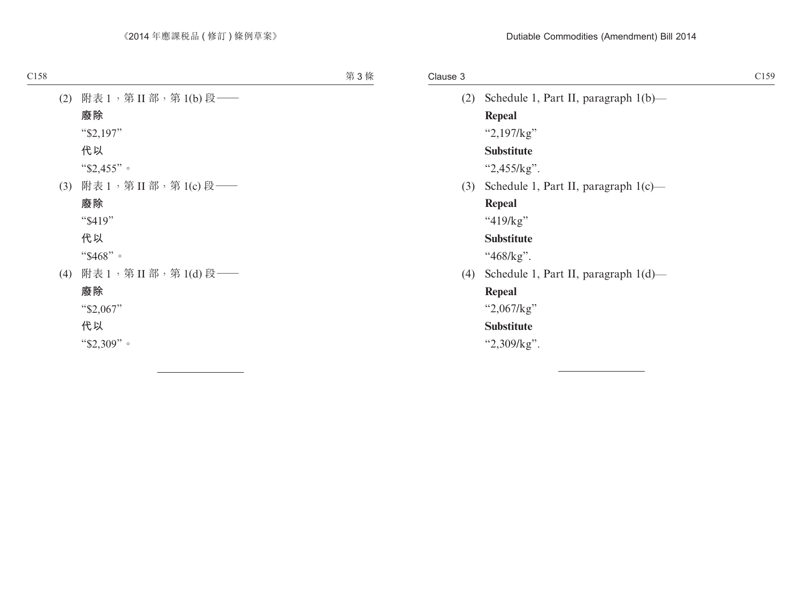#### Clause 3

| (2) | Schedule 1, Part II, paragraph 1(b)—        |
|-----|---------------------------------------------|
|     | Repeal                                      |
|     | " $2,197$ / $kg$ "                          |
|     | Substitute                                  |
|     | " $2,455$ /kg".                             |
|     | (3) Schedule 1, Part II, paragraph $1(c)$ — |
|     | Repeal                                      |
|     | " $419/kg$ "                                |
|     | Substitute                                  |
|     | "468/kg".                                   |
| (4) | Schedule 1, Part II, paragraph $1(d)$ —     |
|     | Repeal                                      |
|     | " $2,067/kg$ "                              |
|     | Substitute                                  |
|     | " $2,309/kg$ ".                             |